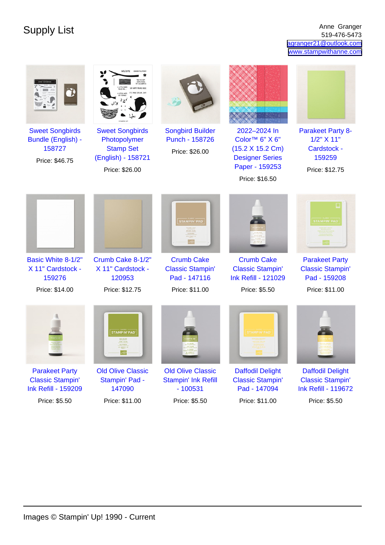Supply List Anne Granger Anne Granger (1995) and the Supply List Anne Granger (1996) and  $\frac{1}{519.476-5473}$ 519-476-5473 [agranger21@outlook.com](mailto:agranger21@outlook.com) [www.stampwithanne.com](http://www.stampwithanne.com)

| <b>Sweet Songbirds</b><br>Bundle (English) -<br>158727<br>Price: \$46.75       | <b>Sweet Songbirds</b><br>Photopolymer<br><b>Stamp Set</b><br>(English) - 158721<br>Price: \$26.00 | <b>Songbird Builder</b><br>Punch - 158726<br>Price: \$26.00         | 2022-2024 In<br>Color <sup>™</sup> 6" X 6"<br>(15.2 X 15.2 Cm)<br><b>Designer Series</b><br>Paper - 159253<br>Price: \$16.50 | <b>Parakeet Party 8-</b><br>$1/2$ " $X$ 11"<br>Cardstock -<br>159259<br>Price: \$12.75 |
|--------------------------------------------------------------------------------|----------------------------------------------------------------------------------------------------|---------------------------------------------------------------------|------------------------------------------------------------------------------------------------------------------------------|----------------------------------------------------------------------------------------|
|                                                                                |                                                                                                    | <b>STAMPIN' PAD</b>                                                 |                                                                                                                              | <b>STAMPIN' PAD</b>                                                                    |
| Basic White 8-1/2"                                                             | Crumb Cake 8-1/2"                                                                                  | <b>Crumb Cake</b>                                                   | <b>Crumb Cake</b>                                                                                                            | <b>Parakeet Party</b>                                                                  |
| X 11" Cardstock -<br>159276                                                    | X 11" Cardstock -<br>120953                                                                        | <b>Classic Stampin'</b><br>Pad - 147116                             | <b>Classic Stampin'</b><br><b>Ink Refill - 121029</b>                                                                        | <b>Classic Stampin'</b><br>Pad - 159208                                                |
| Price: \$14.00                                                                 | Price: \$12.75                                                                                     | Price: \$11.00                                                      | Price: \$5.50                                                                                                                | Price: \$11.00                                                                         |
|                                                                                | <b>STAMPIN' PAD</b>                                                                                |                                                                     | <b>TAMPIN' PAI</b>                                                                                                           |                                                                                        |
| <b>Parakeet Party</b><br><b>Classic Stampin'</b><br><b>Ink Refill - 159209</b> | <b>Old Olive Classic</b><br>Stampin' Pad -<br>147090                                               | <b>Old Olive Classic</b><br><b>Stampin' Ink Refill</b><br>$-100531$ | <b>Daffodil Delight</b><br><b>Classic Stampin'</b><br>Pad - 147094                                                           | <b>Daffodil Delight</b><br><b>Classic Stampin'</b><br><b>Ink Refill - 119672</b>       |
| Price: \$5.50                                                                  | Price: \$11.00                                                                                     | Price: \$5.50                                                       | Price: \$11.00                                                                                                               | Price: \$5.50                                                                          |